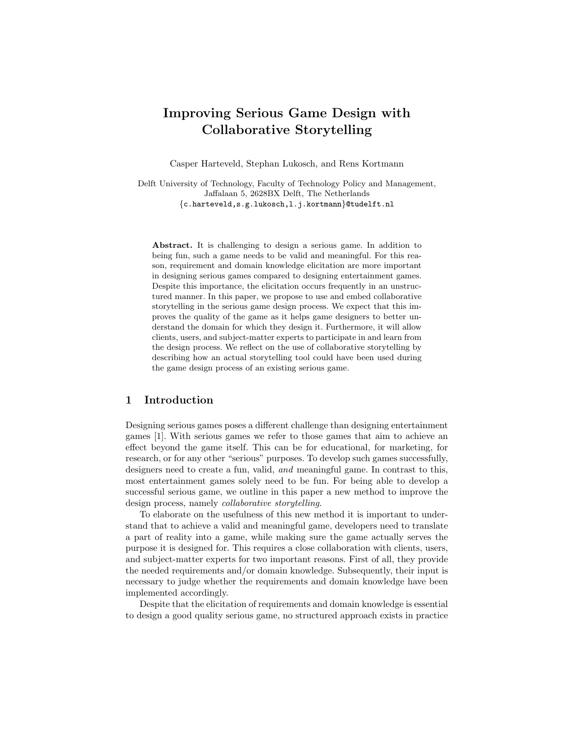# Improving Serious Game Design with Collaborative Storytelling

Casper Harteveld, Stephan Lukosch, and Rens Kortmann

Delft University of Technology, Faculty of Technology Policy and Management, Jaffalaan 5, 2628BX Delft, The Netherlands {c.harteveld,s.g.lukosch,l.j.kortmann}@tudelft.nl

Abstract. It is challenging to design a serious game. In addition to being fun, such a game needs to be valid and meaningful. For this reason, requirement and domain knowledge elicitation are more important in designing serious games compared to designing entertainment games. Despite this importance, the elicitation occurs frequently in an unstructured manner. In this paper, we propose to use and embed collaborative storytelling in the serious game design process. We expect that this improves the quality of the game as it helps game designers to better understand the domain for which they design it. Furthermore, it will allow clients, users, and subject-matter experts to participate in and learn from the design process. We reflect on the use of collaborative storytelling by describing how an actual storytelling tool could have been used during the game design process of an existing serious game.

# 1 Introduction

Designing serious games poses a different challenge than designing entertainment games [1]. With serious games we refer to those games that aim to achieve an effect beyond the game itself. This can be for educational, for marketing, for research, or for any other "serious" purposes. To develop such games successfully, designers need to create a fun, valid, and meaningful game. In contrast to this, most entertainment games solely need to be fun. For being able to develop a successful serious game, we outline in this paper a new method to improve the design process, namely collaborative storytelling.

To elaborate on the usefulness of this new method it is important to understand that to achieve a valid and meaningful game, developers need to translate a part of reality into a game, while making sure the game actually serves the purpose it is designed for. This requires a close collaboration with clients, users, and subject-matter experts for two important reasons. First of all, they provide the needed requirements and/or domain knowledge. Subsequently, their input is necessary to judge whether the requirements and domain knowledge have been implemented accordingly.

Despite that the elicitation of requirements and domain knowledge is essential to design a good quality serious game, no structured approach exists in practice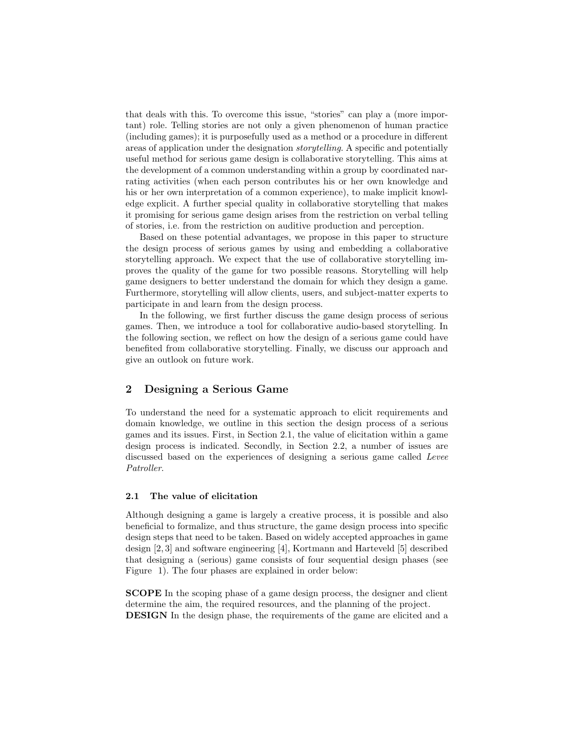that deals with this. To overcome this issue, "stories" can play a (more important) role. Telling stories are not only a given phenomenon of human practice (including games); it is purposefully used as a method or a procedure in different areas of application under the designation storytelling. A specific and potentially useful method for serious game design is collaborative storytelling. This aims at the development of a common understanding within a group by coordinated narrating activities (when each person contributes his or her own knowledge and his or her own interpretation of a common experience), to make implicit knowledge explicit. A further special quality in collaborative storytelling that makes it promising for serious game design arises from the restriction on verbal telling of stories, i.e. from the restriction on auditive production and perception.

Based on these potential advantages, we propose in this paper to structure the design process of serious games by using and embedding a collaborative storytelling approach. We expect that the use of collaborative storytelling improves the quality of the game for two possible reasons. Storytelling will help game designers to better understand the domain for which they design a game. Furthermore, storytelling will allow clients, users, and subject-matter experts to participate in and learn from the design process.

In the following, we first further discuss the game design process of serious games. Then, we introduce a tool for collaborative audio-based storytelling. In the following section, we reflect on how the design of a serious game could have benefited from collaborative storytelling. Finally, we discuss our approach and give an outlook on future work.

#### 2 Designing a Serious Game

To understand the need for a systematic approach to elicit requirements and domain knowledge, we outline in this section the design process of a serious games and its issues. First, in Section 2.1, the value of elicitation within a game design process is indicated. Secondly, in Section 2.2, a number of issues are discussed based on the experiences of designing a serious game called Levee Patroller.

#### 2.1 The value of elicitation

Although designing a game is largely a creative process, it is possible and also beneficial to formalize, and thus structure, the game design process into specific design steps that need to be taken. Based on widely accepted approaches in game design [2, 3] and software engineering [4], Kortmann and Harteveld [5] described that designing a (serious) game consists of four sequential design phases (see Figure 1). The four phases are explained in order below:

SCOPE In the scoping phase of a game design process, the designer and client determine the aim, the required resources, and the planning of the project. DESIGN In the design phase, the requirements of the game are elicited and a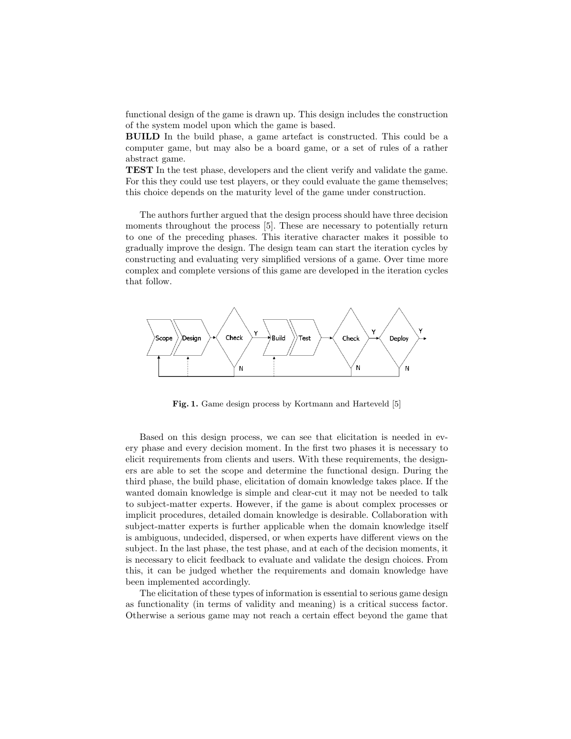functional design of the game is drawn up. This design includes the construction of the system model upon which the game is based.

BUILD In the build phase, a game artefact is constructed. This could be a computer game, but may also be a board game, or a set of rules of a rather abstract game.

TEST In the test phase, developers and the client verify and validate the game. For this they could use test players, or they could evaluate the game themselves; this choice depends on the maturity level of the game under construction.

The authors further argued that the design process should have three decision moments throughout the process [5]. These are necessary to potentially return to one of the preceding phases. This iterative character makes it possible to gradually improve the design. The design team can start the iteration cycles by constructing and evaluating very simplified versions of a game. Over time more complex and complete versions of this game are developed in the iteration cycles that follow.



Fig. 1. Game design process by Kortmann and Harteveld [5]

Based on this design process, we can see that elicitation is needed in every phase and every decision moment. In the first two phases it is necessary to elicit requirements from clients and users. With these requirements, the designers are able to set the scope and determine the functional design. During the third phase, the build phase, elicitation of domain knowledge takes place. If the wanted domain knowledge is simple and clear-cut it may not be needed to talk to subject-matter experts. However, if the game is about complex processes or implicit procedures, detailed domain knowledge is desirable. Collaboration with subject-matter experts is further applicable when the domain knowledge itself is ambiguous, undecided, dispersed, or when experts have different views on the subject. In the last phase, the test phase, and at each of the decision moments, it is necessary to elicit feedback to evaluate and validate the design choices. From this, it can be judged whether the requirements and domain knowledge have been implemented accordingly.

The elicitation of these types of information is essential to serious game design as functionality (in terms of validity and meaning) is a critical success factor. Otherwise a serious game may not reach a certain effect beyond the game that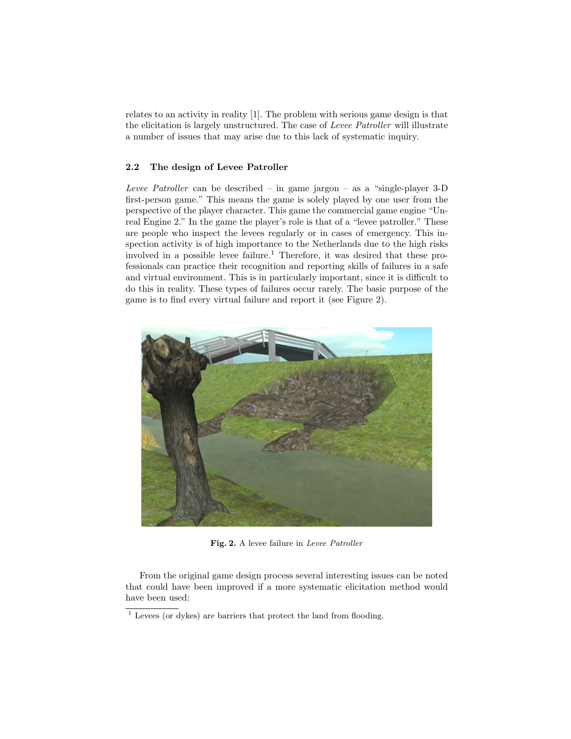relates to an activity in reality [1]. The problem with serious game design is that the elicitation is largely unstructured. The case of Levee Patroller will illustrate a number of issues that may arise due to this lack of systematic inquiry.

#### 2.2 The design of Levee Patroller

Levee Patroller can be described – in game jargon – as a "single-player  $3-D$ first-person game." This means the game is solely played by one user from the perspective of the player character. This game the commercial game engine "Unreal Engine 2." In the game the player's role is that of a "levee patroller." These are people who inspect the levees regularly or in cases of emergency. This inspection activity is of high importance to the Netherlands due to the high risks involved in a possible levee failure.<sup>1</sup> Therefore, it was desired that these professionals can practice their recognition and reporting skills of failures in a safe and virtual environment. This is in particularly important, since it is difficult to do this in reality. These types of failures occur rarely. The basic purpose of the game is to find every virtual failure and report it (see Figure 2).



Fig. 2. A levee failure in Levee Patroller

From the original game design process several interesting issues can be noted that could have been improved if a more systematic elicitation method would have been used:

 $1$  Levees (or dykes) are barriers that protect the land from flooding.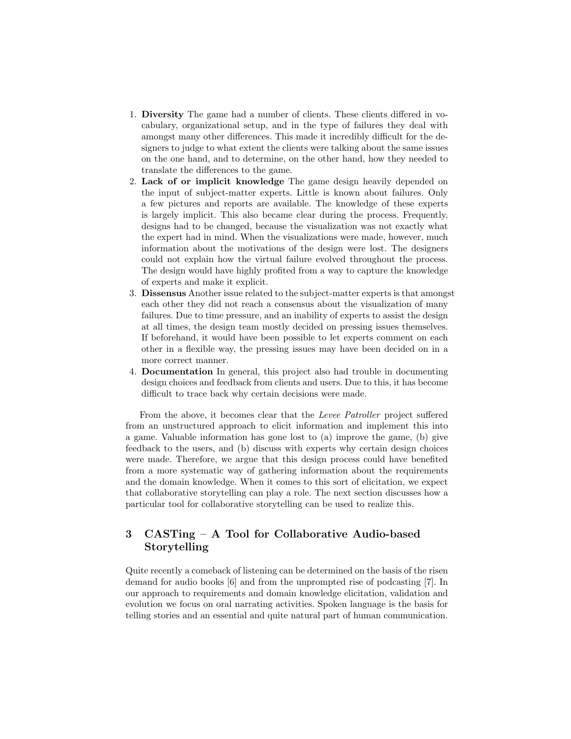- 1. Diversity The game had a number of clients. These clients differed in vocabulary, organizational setup, and in the type of failures they deal with amongst many other differences. This made it incredibly difficult for the designers to judge to what extent the clients were talking about the same issues on the one hand, and to determine, on the other hand, how they needed to translate the differences to the game.
- 2. Lack of or implicit knowledge The game design heavily depended on the input of subject-matter experts. Little is known about failures. Only a few pictures and reports are available. The knowledge of these experts is largely implicit. This also became clear during the process. Frequently, designs had to be changed, because the visualization was not exactly what the expert had in mind. When the visualizations were made, however, much information about the motivations of the design were lost. The designers could not explain how the virtual failure evolved throughout the process. The design would have highly profited from a way to capture the knowledge of experts and make it explicit.
- 3. Dissensus Another issue related to the subject-matter experts is that amongst each other they did not reach a consensus about the visualization of many failures. Due to time pressure, and an inability of experts to assist the design at all times, the design team mostly decided on pressing issues themselves. If beforehand, it would have been possible to let experts comment on each other in a flexible way, the pressing issues may have been decided on in a more correct manner.
- 4. Documentation In general, this project also had trouble in documenting design choices and feedback from clients and users. Due to this, it has become difficult to trace back why certain decisions were made.

From the above, it becomes clear that the Levee Patroller project suffered from an unstructured approach to elicit information and implement this into a game. Valuable information has gone lost to (a) improve the game, (b) give feedback to the users, and (b) discuss with experts why certain design choices were made. Therefore, we argue that this design process could have benefited from a more systematic way of gathering information about the requirements and the domain knowledge. When it comes to this sort of elicitation, we expect that collaborative storytelling can play a role. The next section discusses how a particular tool for collaborative storytelling can be used to realize this.

# 3 CASTing – A Tool for Collaborative Audio-based Storytelling

Quite recently a comeback of listening can be determined on the basis of the risen demand for audio books [6] and from the unprompted rise of podcasting [7]. In our approach to requirements and domain knowledge elicitation, validation and evolution we focus on oral narrating activities. Spoken language is the basis for telling stories and an essential and quite natural part of human communication.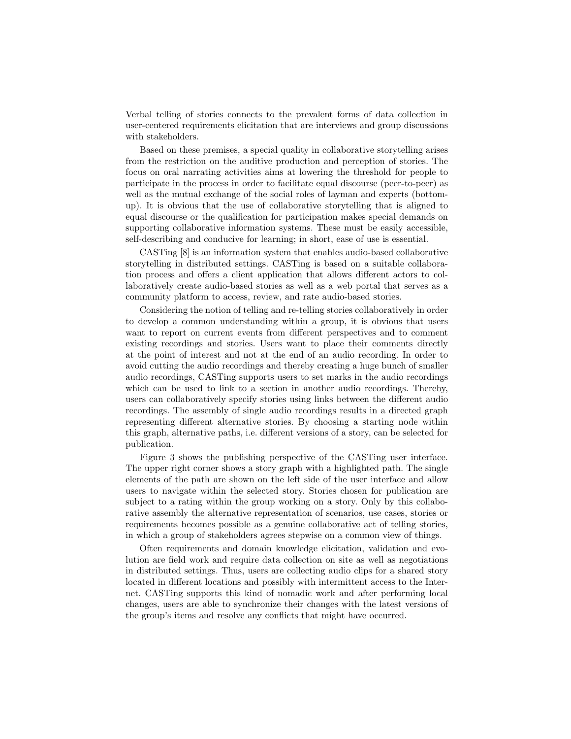Verbal telling of stories connects to the prevalent forms of data collection in user-centered requirements elicitation that are interviews and group discussions with stakeholders.

Based on these premises, a special quality in collaborative storytelling arises from the restriction on the auditive production and perception of stories. The focus on oral narrating activities aims at lowering the threshold for people to participate in the process in order to facilitate equal discourse (peer-to-peer) as well as the mutual exchange of the social roles of layman and experts (bottomup). It is obvious that the use of collaborative storytelling that is aligned to equal discourse or the qualification for participation makes special demands on supporting collaborative information systems. These must be easily accessible, self-describing and conducive for learning; in short, ease of use is essential.

CASTing [8] is an information system that enables audio-based collaborative storytelling in distributed settings. CASTing is based on a suitable collaboration process and offers a client application that allows different actors to collaboratively create audio-based stories as well as a web portal that serves as a community platform to access, review, and rate audio-based stories.

Considering the notion of telling and re-telling stories collaboratively in order to develop a common understanding within a group, it is obvious that users want to report on current events from different perspectives and to comment existing recordings and stories. Users want to place their comments directly at the point of interest and not at the end of an audio recording. In order to avoid cutting the audio recordings and thereby creating a huge bunch of smaller audio recordings, CASTing supports users to set marks in the audio recordings which can be used to link to a section in another audio recordings. Thereby, users can collaboratively specify stories using links between the different audio recordings. The assembly of single audio recordings results in a directed graph representing different alternative stories. By choosing a starting node within this graph, alternative paths, i.e. different versions of a story, can be selected for publication.

Figure 3 shows the publishing perspective of the CASTing user interface. The upper right corner shows a story graph with a highlighted path. The single elements of the path are shown on the left side of the user interface and allow users to navigate within the selected story. Stories chosen for publication are subject to a rating within the group working on a story. Only by this collaborative assembly the alternative representation of scenarios, use cases, stories or requirements becomes possible as a genuine collaborative act of telling stories, in which a group of stakeholders agrees stepwise on a common view of things.

Often requirements and domain knowledge elicitation, validation and evolution are field work and require data collection on site as well as negotiations in distributed settings. Thus, users are collecting audio clips for a shared story located in different locations and possibly with intermittent access to the Internet. CASTing supports this kind of nomadic work and after performing local changes, users are able to synchronize their changes with the latest versions of the group's items and resolve any conflicts that might have occurred.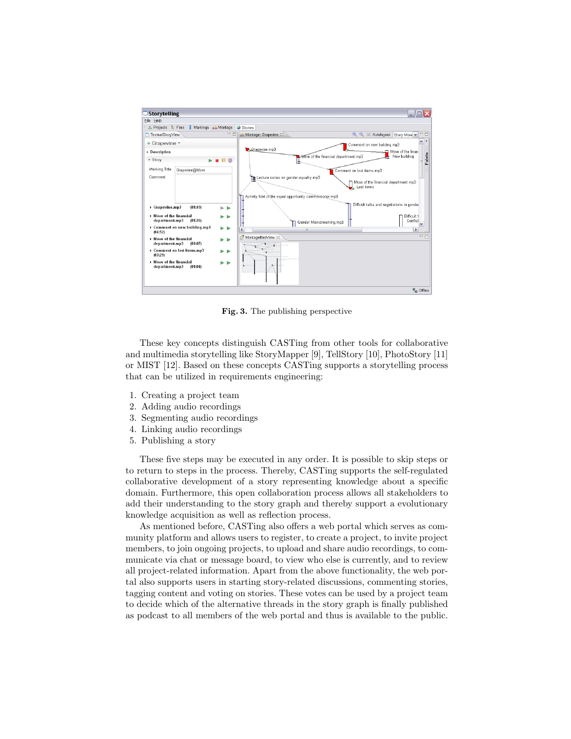

Fig. 3. The publishing perspective

These key concepts distinguish CASTing from other tools for collaborative and multimedia storytelling like StoryMapper [9], TellStory [10], PhotoStory [11] or MIST [12]. Based on these concepts CASTing supports a storytelling process that can be utilized in requirements engineering:

- 1. Creating a project team
- 2. Adding audio recordings
- 3. Segmenting audio recordings
- 4. Linking audio recordings
- 5. Publishing a story

These five steps may be executed in any order. It is possible to skip steps or to return to steps in the process. Thereby, CASTing supports the self-regulated collaborative development of a story representing knowledge about a specific domain. Furthermore, this open collaboration process allows all stakeholders to add their understanding to the story graph and thereby support a evolutionary knowledge acquisition as well as reflection process.

As mentioned before, CASTing also offers a web portal which serves as community platform and allows users to register, to create a project, to invite project members, to join ongoing projects, to upload and share audio recordings, to communicate via chat or message board, to view who else is currently, and to review all project-related information. Apart from the above functionality, the web portal also supports users in starting story-related discussions, commenting stories, tagging content and voting on stories. These votes can be used by a project team to decide which of the alternative threads in the story graph is finally published as podcast to all members of the web portal and thus is available to the public.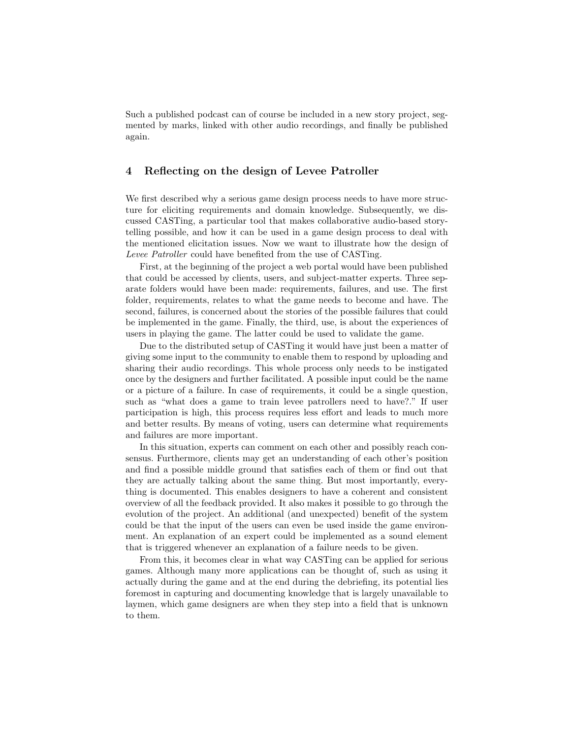Such a published podcast can of course be included in a new story project, segmented by marks, linked with other audio recordings, and finally be published again.

### 4 Reflecting on the design of Levee Patroller

We first described why a serious game design process needs to have more structure for eliciting requirements and domain knowledge. Subsequently, we discussed CASTing, a particular tool that makes collaborative audio-based storytelling possible, and how it can be used in a game design process to deal with the mentioned elicitation issues. Now we want to illustrate how the design of Levee Patroller could have benefited from the use of CASTing.

First, at the beginning of the project a web portal would have been published that could be accessed by clients, users, and subject-matter experts. Three separate folders would have been made: requirements, failures, and use. The first folder, requirements, relates to what the game needs to become and have. The second, failures, is concerned about the stories of the possible failures that could be implemented in the game. Finally, the third, use, is about the experiences of users in playing the game. The latter could be used to validate the game.

Due to the distributed setup of CASTing it would have just been a matter of giving some input to the community to enable them to respond by uploading and sharing their audio recordings. This whole process only needs to be instigated once by the designers and further facilitated. A possible input could be the name or a picture of a failure. In case of requirements, it could be a single question, such as "what does a game to train levee patrollers need to have?." If user participation is high, this process requires less effort and leads to much more and better results. By means of voting, users can determine what requirements and failures are more important.

In this situation, experts can comment on each other and possibly reach consensus. Furthermore, clients may get an understanding of each other's position and find a possible middle ground that satisfies each of them or find out that they are actually talking about the same thing. But most importantly, everything is documented. This enables designers to have a coherent and consistent overview of all the feedback provided. It also makes it possible to go through the evolution of the project. An additional (and unexpected) benefit of the system could be that the input of the users can even be used inside the game environment. An explanation of an expert could be implemented as a sound element that is triggered whenever an explanation of a failure needs to be given.

From this, it becomes clear in what way CASTing can be applied for serious games. Although many more applications can be thought of, such as using it actually during the game and at the end during the debriefing, its potential lies foremost in capturing and documenting knowledge that is largely unavailable to laymen, which game designers are when they step into a field that is unknown to them.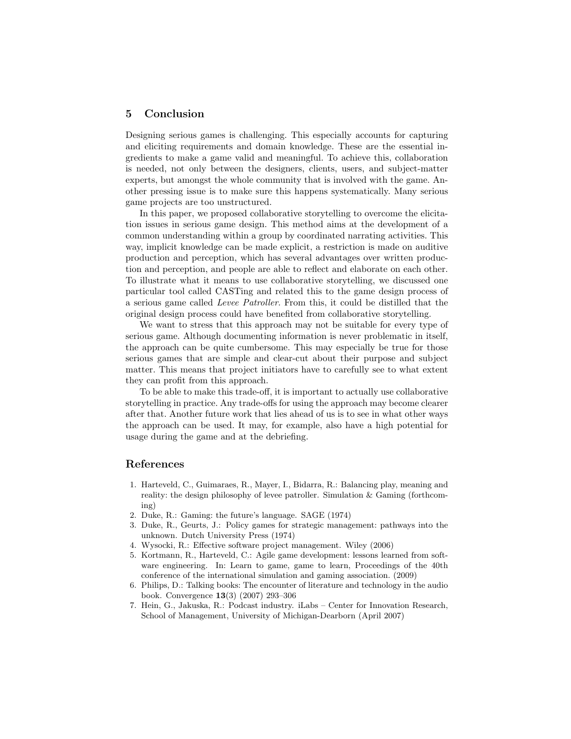## 5 Conclusion

Designing serious games is challenging. This especially accounts for capturing and eliciting requirements and domain knowledge. These are the essential ingredients to make a game valid and meaningful. To achieve this, collaboration is needed, not only between the designers, clients, users, and subject-matter experts, but amongst the whole community that is involved with the game. Another pressing issue is to make sure this happens systematically. Many serious game projects are too unstructured.

In this paper, we proposed collaborative storytelling to overcome the elicitation issues in serious game design. This method aims at the development of a common understanding within a group by coordinated narrating activities. This way, implicit knowledge can be made explicit, a restriction is made on auditive production and perception, which has several advantages over written production and perception, and people are able to reflect and elaborate on each other. To illustrate what it means to use collaborative storytelling, we discussed one particular tool called CASTing and related this to the game design process of a serious game called Levee Patroller. From this, it could be distilled that the original design process could have benefited from collaborative storytelling.

We want to stress that this approach may not be suitable for every type of serious game. Although documenting information is never problematic in itself, the approach can be quite cumbersome. This may especially be true for those serious games that are simple and clear-cut about their purpose and subject matter. This means that project initiators have to carefully see to what extent they can profit from this approach.

To be able to make this trade-off, it is important to actually use collaborative storytelling in practice. Any trade-offs for using the approach may become clearer after that. Another future work that lies ahead of us is to see in what other ways the approach can be used. It may, for example, also have a high potential for usage during the game and at the debriefing.

#### References

- 1. Harteveld, C., Guimaraes, R., Mayer, I., Bidarra, R.: Balancing play, meaning and reality: the design philosophy of levee patroller. Simulation & Gaming (forthcoming)
- 2. Duke, R.: Gaming: the future's language. SAGE (1974)
- 3. Duke, R., Geurts, J.: Policy games for strategic management: pathways into the unknown. Dutch University Press (1974)
- 4. Wysocki, R.: Effective software project management. Wiley (2006)
- 5. Kortmann, R., Harteveld, C.: Agile game development: lessons learned from software engineering. In: Learn to game, game to learn, Proceedings of the 40th conference of the international simulation and gaming association. (2009)
- 6. Philips, D.: Talking books: The encounter of literature and technology in the audio book. Convergence 13(3) (2007) 293–306
- 7. Hein, G., Jakuska, R.: Podcast industry. iLabs Center for Innovation Research, School of Management, University of Michigan-Dearborn (April 2007)